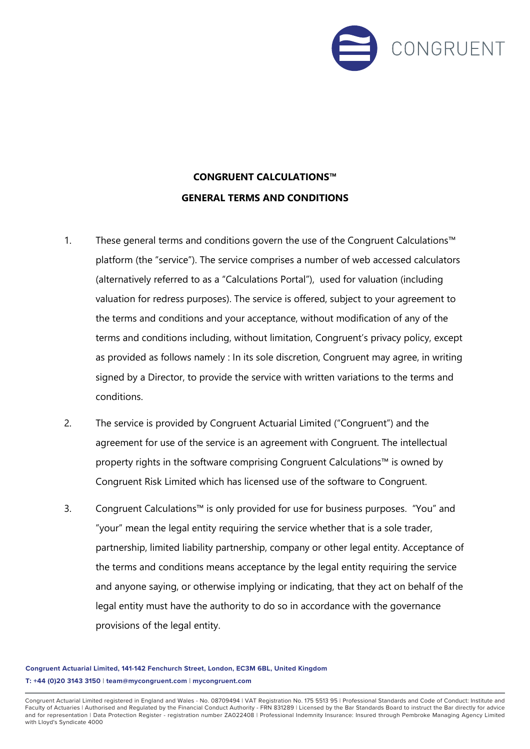

## **CONGRUENT CALCULATIONS™ GENERAL TERMS AND CONDITIONS**

- 1. These general terms and conditions govern the use of the Congruent Calculations™ platform (the "service"). The service comprises a number of web accessed calculators (alternatively referred to as a "Calculations Portal"), used for valuation (including valuation for redress purposes). The service is offered, subject to your agreement to the terms and conditions and your acceptance, without modification of any of the terms and conditions including, without limitation, Congruent's privacy policy, except as provided as follows namely : In its sole discretion, Congruent may agree, in writing signed by a Director, to provide the service with written variations to the terms and conditions.
- 2. The service is provided by Congruent Actuarial Limited ("Congruent") and the agreement for use of the service is an agreement with Congruent. The intellectual property rights in the software comprising Congruent Calculations™ is owned by Congruent Risk Limited which has licensed use of the software to Congruent.
- 3. Congruent Calculations™ is only provided for use for business purposes. "You" and "your" mean the legal entity requiring the service whether that is a sole trader, partnership, limited liability partnership, company or other legal entity. Acceptance of the terms and conditions means acceptance by the legal entity requiring the service and anyone saying, or otherwise implying or indicating, that they act on behalf of the legal entity must have the authority to do so in accordance with the governance provisions of the legal entity.

**Congruent Actuarial Limited, 141-142 Fenchurch Street, London, EC3M 6BL, United Kingdom T: +44 (0)20 3143 3150 | team@mycongruent.com | mycongruent.com**

Congruent Actuarial Limited registered in England and Wales - No. 08709494 | VAT Registration No. 175 5513 95 | Professional Standards and Code of Conduct: Institute and Faculty of Actuaries | Authorised and Regulated by the Financial Conduct Authority - FRN 831289 | Licensed by the Bar Standards Board to instruct the Bar directly for advice<br>and for representation | Data Protection Registe with Lloyd's Syndicate 4000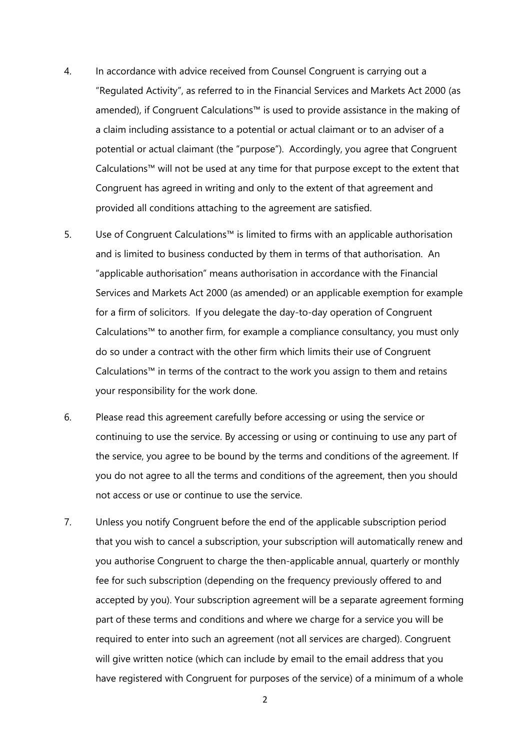- 4. In accordance with advice received from Counsel Congruent is carrying out a "Regulated Activity", as referred to in the Financial Services and Markets Act 2000 (as amended), if Congruent Calculations™ is used to provide assistance in the making of a claim including assistance to a potential or actual claimant or to an adviser of a potential or actual claimant (the "purpose"). Accordingly, you agree that Congruent Calculations™ will not be used at any time for that purpose except to the extent that Congruent has agreed in writing and only to the extent of that agreement and provided all conditions attaching to the agreement are satisfied.
- 5. Use of Congruent Calculations™ is limited to firms with an applicable authorisation and is limited to business conducted by them in terms of that authorisation. An "applicable authorisation" means authorisation in accordance with the Financial Services and Markets Act 2000 (as amended) or an applicable exemption for example for a firm of solicitors. If you delegate the day-to-day operation of Congruent Calculations™ to another firm, for example a compliance consultancy, you must only do so under a contract with the other firm which limits their use of Congruent Calculations™ in terms of the contract to the work you assign to them and retains your responsibility for the work done.
- 6. Please read this agreement carefully before accessing or using the service or continuing to use the service. By accessing or using or continuing to use any part of the service, you agree to be bound by the terms and conditions of the agreement. If you do not agree to all the terms and conditions of the agreement, then you should not access or use or continue to use the service.
- 7. Unless you notify Congruent before the end of the applicable subscription period that you wish to cancel a subscription, your subscription will automatically renew and you authorise Congruent to charge the then-applicable annual, quarterly or monthly fee for such subscription (depending on the frequency previously offered to and accepted by you). Your subscription agreement will be a separate agreement forming part of these terms and conditions and where we charge for a service you will be required to enter into such an agreement (not all services are charged). Congruent will give written notice (which can include by email to the email address that you have registered with Congruent for purposes of the service) of a minimum of a whole

2